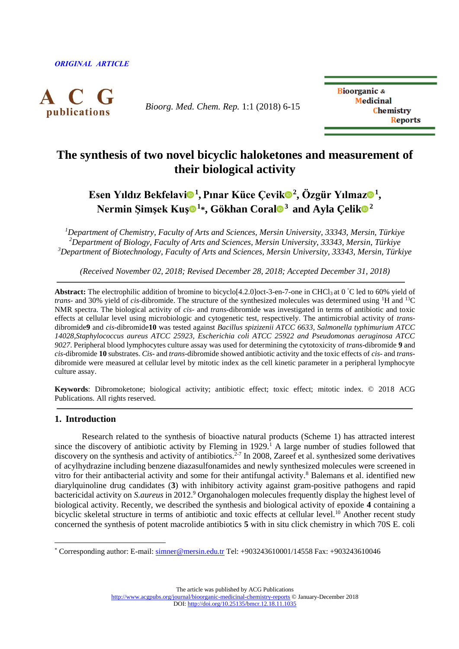

*Bioorg. Med. Chem. Rep.* 1:1 (2018) 6-15

**Bioorganic & Medicinal** Chemistry **Reports** 

# **The synthesis of two novel bicyclic haloketones and measurement of their biological activity**

Esen Yıldız Bekfelav[i](http://orcid.org/0000-0002-3117-6784)<sup>n</sup>, Pınar Küce Çevik<sup>n</sup><sup>2</sup>, Ö[z](http://orcid.org/0000-0001-9278-1091)gür Yılmaz<sup>n</sup>, **Nermin Şimşek Ku[ş](http://orcid.org/0000-0002-5402-2614) <sup>1</sup> \*, Gökhan Coral <sup>3</sup>and Ayla Çeli[k](http://orcid.org/0000-0002-0127-3639) <sup>2</sup>**

*<sup>1</sup>Department of Chemistry, Faculty of Arts and Sciences, Mersin University, 33343, Mersin, Türkiye <sup>2</sup>Department of Biology, Faculty of Arts and Sciences, Mersin University, 33343, Mersin, Türkiye <sup>3</sup>Department of Biotechnology, Faculty of Arts and Sciences, Mersin University, 33343, Mersin, Türkiye*

*(Received November 02, 2018; Revised December 28, 2018; Accepted December 31, 2018)*

**Abstract:** The electrophilic addition of bromine to bicyclo<sup>[4.2.0]</sup> oct-3-en-7-one in CHCl<sub>3</sub> at 0 °C led to 60% yield of *trans*- and 30% vield of *cis*-dibromide. The structure of the synthesized molecules was determined using <sup>1</sup>H and <sup>13</sup>C NMR spectra. The biological activity of *cis*- and *trans-*dibromide was investigated in terms of antibiotic and toxic effects at cellular level using microbiologic and cytogenetic test, respectively. The antimicrobial activity of *trans*dibromide**9** and *cis*-dibromide**10** was tested against *Bacillus spizizenii ATCC 6633, Salmonella typhimurium ATCC 14028,Staphylococcus aureus ATCC 25923, Escherichia coli ATCC 25922 and Pseudomonas aeruginosa ATCC 9027*. Peripheral blood lymphocytes culture assay was used for determining the cytotoxicity of *trans*-dibromide **9** and *cis*-dibromide **10** substrates. *Cis*- and *trans-*dibromide showed antibiotic activity and the toxic effects of *cis*- and *trans*dibromide were measured at cellular level by mitotic index as the cell kinetic parameter in a peripheral lymphocyte culture assay.

**Keywords**: Dibromoketone; biological activity; antibiotic effect; toxic effect; mitotic index. © 2018 ACG Publications. All rights reserved.

# **1. Introduction**

 $\overline{a}$ 

Research related to the synthesis of bioactive natural products (Scheme 1) has attracted interest since the discovery of antibiotic activity by Fleming in 1929.<sup>1</sup> A large number of studies followed that discovery on the synthesis and activity of antibiotics.<sup>2-7</sup> In 2008, Zareef et al. synthesized some derivatives of acylhydrazine including benzene diazasulfonamides and newly synthesized molecules were screened in vitro for their antibacterial activity and some for their antifungal activity.<sup>8</sup> Balemans et al. identified new diarylquinoline drug candidates (**3**) with inhibitory activity against gram-positive pathogens and rapid bactericidal activity on *S.aureus* in 2012.<sup>9</sup> Organohalogen molecules frequently display the highest level of biological activity. Recently, we described the synthesis and biological activity of epoxide **4** containing a bicyclic skeletal structure in terms of antibiotic and toxic effects at cellular level.<sup>10</sup> Another recent study concerned the synthesis of potent macrolide antibiotics **5** with in situ click chemistry in which 70S E. coli

The article was published by ACG Publications

<http://www.acgpubs.org/journal/bioorganic-medicinal-chemistry-reports> © January-December 2018 DOI: <http://doi.org/10.25135/bmcr.12.18.11.1035>

<sup>\*</sup> Corresponding author: E-mail: [simner@mersin.edu.tr](mailto:simner@mersin.edu.tr) Tel: +903243610001/14558 Fax: +903243610046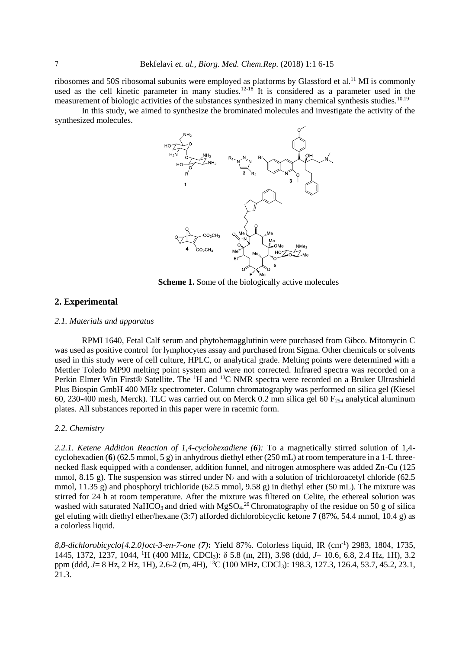ribosomes and 50S ribosomal subunits were employed as platforms by Glassford et al.<sup>11</sup> MI is commonly used as the cell kinetic parameter in many studies.<sup>12-18</sup> It is considered as a parameter used in the measurement of biologic activities of the substances synthesized in many chemical synthesis studies.<sup>10,19</sup>

In this study, we aimed to synthesize the brominated molecules and investigate the activity of the synthesized molecules.



**Scheme 1.** Some of the biologically active molecules

# **2. Experimental**

#### *2.1. Materials and apparatus*

RPMI 1640, Fetal Calf serum and phytohemagglutinin were purchased from Gibco. Mitomycin C was used as positive control for lymphocytes assay and purchased from Sigma. Other chemicals or solvents used in this study were of cell culture, HPLC, or analytical grade. Melting points were determined with a Mettler Toledo MP90 melting point system and were not corrected. Infrared spectra was recorded on a Perkin Elmer Win First® Satellite. The <sup>1</sup>H and <sup>13</sup>C NMR spectra were recorded on a Bruker Ultrashield Plus Biospin GmbH 400 MHz spectrometer. Column chromatography was performed on silica gel (Kiesel 60, 230-400 mesh, Merck). TLC was carried out on Merck 0.2 mm silica gel 60  $F<sub>254</sub>$  analytical aluminum plates. All substances reported in this paper were in racemic form.

#### *2.2. Chemistry*

*2.2.1. Ketene Addition Reaction of 1,4-cyclohexadiene (6):* To a magnetically stirred solution of 1,4 cyclohexadien (**6**) (62.5 mmol, 5 g) in anhydrous diethyl ether (250 mL) at room temperature in a 1-L threenecked flask equipped with a condenser, addition funnel, and nitrogen atmosphere was added Zn-Cu (125 mmol, 8.15 g). The suspension was stirred under  $N_2$  and with a solution of trichloroacetyl chloride (62.5) mmol, 11.35 g) and phosphoryl trichloride (62.5 mmol, 9.58 g) in diethyl ether (50 mL). The mixture was stirred for 24 h at room temperature. After the mixture was filtered on Celite, the ethereal solution was washed with saturated NaHCO<sub>3</sub> and dried with MgSO<sub>4</sub>.<sup>20</sup> Chromatography of the residue on 50 g of silica gel eluting with diethyl ether/hexane (3:7) afforded dichlorobicyclic ketone **7** (87%, 54.4 mmol, 10.4 g) as a colorless liquid.

*8,8-dichlorobicyclo[4.2.0]oct-3-en-7-one (7)***:** Yield 87%. Colorless liquid, IR (cm-1 ) 2983, 1804, 1735, 1445, 1372, 1237, 1044, <sup>1</sup>H (400 MHz, CDCl3): δ 5.8 (m, 2H), 3.98 (ddd, *J*= 10.6, 6.8, 2.4 Hz, 1H), 3.2 ppm (ddd, *J*= 8 Hz, 2 Hz, 1H), 2.6-2 (m, 4H), <sup>13</sup>C (100 MHz, CDCl<sub>3</sub>): 198.3, 127.3, 126.4, 53.7, 45.2, 23.1, 21.3.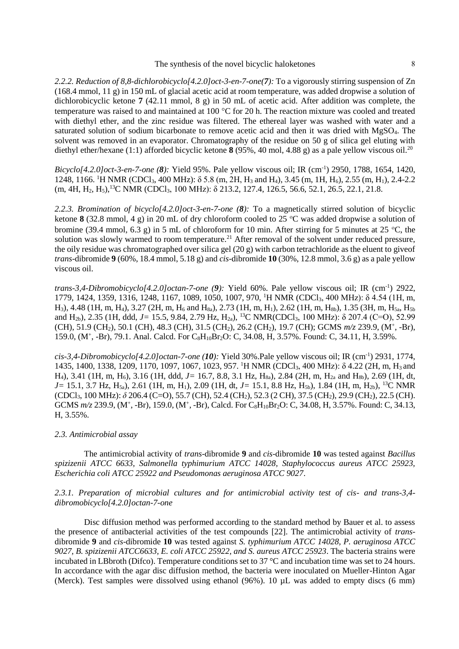#### The synthesis of the novel bicyclic haloketones 8

*2.2.2. Reduction of 8,8-dichlorobicyclo[4.2.0]oct-3-en-7-one(7):* To a vigorously stirring suspension of Zn (168.4 mmol, 11 g) in 150 mL of glacial acetic acid at room temperature, was added dropwise a solution of dichlorobicyclic ketone **7** (42.11 mmol, 8 g) in 50 mL of acetic acid. After addition was complete, the temperature was raised to and maintained at 100  $^{\circ}$ C for 20 h. The reaction mixture was cooled and treated with diethyl ether, and the zinc residue was filtered. The ethereal layer was washed with water and a saturated solution of sodium bicarbonate to remove acetic acid and then it was dried with MgSO<sub>4</sub>. The solvent was removed in an evaporator. Chromatography of the residue on 50 g of silica gel eluting with diethyl ether/hexane (1:1) afforded bicyclic ketone **8** (95%, 40 mol, 4.88 g) as a pale yellow viscous oil.<sup>20</sup>

*Bicyclo[4.2.0]oct-3-en-7-one (8):* Yield 95%. Pale yellow viscous oil; IR (cm-1 ) 2950, 1788, 1654, 1420, 1248, 1166. <sup>1</sup>H NMR (CDCl3, 400 MHz): δ 5.8 (m, 2H, H<sup>3</sup> and H4), 3.45 (m, 1H, H6), 2.55 (m, H1), 2.4-2.2 (m, 4H, H2, H5),<sup>13</sup>C NMR (CDCl3, 100 MHz): δ 213.2, 127.4, 126.5, 56.6, 52.1, 26.5, 22.1, 21.8.

*2.2.3. Bromination of bicyclo[4.2.0]oct-3-en-7-one (8):* To a magnetically stirred solution of bicyclic ketone **8** (32.8 mmol, 4 g) in 20 mL of dry chloroform cooled to 25 °C was added dropwise a solution of bromine (39.4 mmol, 6.3 g) in 5 mL of chloroform for 10 min. After stirring for 5 minutes at 25 °C, the solution was slowly warmed to room temperature.<sup>21</sup> After removal of the solvent under reduced pressure, the oily residue was chromatographed over silica gel (20 g) with carbon tetrachloride as the eluent to giveof *trans*-dibromide **9** (60%, 18.4 mmol, 5.18 g) and *cis*-dibromide **10** (30%, 12.8 mmol, 3.6 g) as a pale yellow viscous oil.

*trans-3,4-Dibromobicyclo[4.2.0]octan-7-one (9):* Yield 60%. Pale yellow viscous oil; IR (cm-1 ) 2922, 1779, 1424, 1359, 1316, 1248, 1167, 1089, 1050, 1007, 970, <sup>1</sup>H NMR (CDCl3, 400 MHz): δ 4.54 (1H, m, H<sub>3</sub>), 4.48 (1H, m, H<sub>4</sub>), 3.27 (2H, m, H<sub>6</sub> and H<sub>8a</sub>), 2.73 (1H, m, H<sub>1</sub>), 2.62 (1H, m, H<sub>8b</sub>), 1.35 (3H, m, H<sub>5a</sub>, H<sub>5b</sub>) and H<sub>2b</sub>), 2.35 (1H, ddd, *J*= 15.5, 9.84, 2.79 Hz, H<sub>2a</sub>), <sup>13</sup>C NMR(CDCl<sub>3</sub>, 100 MHz): δ 207.4 (C=O), 52.99 (CH), 51.9 (CH2), 50.1 (CH), 48.3 (CH), 31.5 (CH2), 26.2 (CH2), 19.7 (CH); GCMS *m/z* 239.9, (M<sup>+</sup> , -Br), 159.0, (M<sup>+</sup>, -Br), 79.1. Anal. Calcd. For C<sub>8</sub>H<sub>10</sub>Br<sub>2</sub>O: C, 34.08, H, 3.57%. Found: C, 34.11, H, 3.59%.

*cis-3,4-Dibromobicyclo[4.2.0]octan-7-one (10):* Yield 30%.Pale yellow viscous oil; IR (cm-1 ) 2931, 1774, 1435, 1400, 1338, 1209, 1170, 1097, 1067, 1023, 957. <sup>1</sup>H NMR (CDCl3, 400 MHz): δ 4.22 (2H, m, H3 and H<sub>4</sub>), 3.41 (1H, m, H<sub>6</sub>), 3.16 (1H, ddd, *J* = 16.7, 8.8, 3.1 Hz, H<sub>8a</sub>), 2.84 (2H, m, H<sub>2a</sub> and H<sub>8b</sub>), 2.69 (1H, dt, *J*= 15.1, 3.7 Hz, H<sub>5a</sub>), 2.61 (1H, m, H<sub>1</sub>), 2.09 (1H, dt, *J*= 15.1, 8.8 Hz, H<sub>5b</sub>), 1.84 (1H, m, H<sub>2b</sub>), <sup>13</sup>C NMR (CDCl3, 100 MHz): *δ* 206.4 (C=O), 55.7 (CH), 52.4 (CH2), 52.3 (2 CH), 37.5 (CH2), 29.9 (CH2), 22.5 (CH). GCMS  $m/z$  239.9, (M<sup>+</sup>, -Br), 159.0, (M<sup>+</sup>, -Br), Calcd. For C<sub>8</sub>H<sub>10</sub>Br<sub>2</sub>O: C, 34.08, H, 3.57%. Found: C, 34.13, H, 3.55%.

#### *2.3. Antimicrobial assay*

The antimicrobial activity of *trans*-dibromide **9** and *cis*-dibromide **10** was tested against *Bacillus spizizenii ATCC 6633, Salmonella typhimurium ATCC 14028, Staphylococcus aureus ATCC 25923, Escherichia coli ATCC 25922 and Pseudomonas aeruginosa ATCC 9027*.

# *2.3.1. Preparation of microbial cultures and for antimicrobial activity test of cis- and trans-3,4 dibromobicyclo[4.2.0]octan-7-one*

Disc diffusion method was performed according to the standard method by Bauer et al. to assess the presence of antibacterial activities of the test compounds [22]. The antimicrobial activity of *trans*dibromide **9** and *cis*-dibromide **10** was tested against *S. typhimurium ATCC 14028, P. aeruginosa ATCC 9027, B. spizizenii ATCC6633, E. coli ATCC 25922, and S. aureus ATCC 25923*. The bacteria strains were incubated in LBbroth (Difco). Temperature conditions set to 37 °C and incubation time was set to 24 hours. In accordance with the agar disc diffusion method, the bacteria were inoculated on Mueller-Hinton Agar (Merck). Test samples were dissolved using ethanol (96%). 10 µL was added to empty discs (6 mm)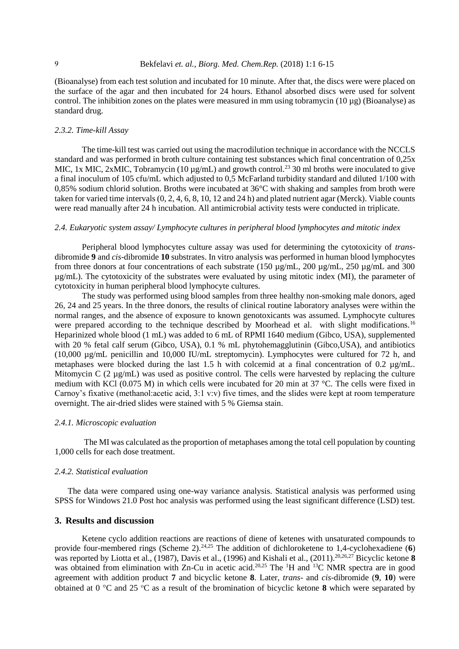(Bioanalyse) from each test solution and incubated for 10 minute. After that, the discs were were placed on the surface of the agar and then incubated for 24 hours. Ethanol absorbed discs were used for solvent control. The inhibition zones on the plates were measured in mm using tobramycin (10 µg) (Bioanalyse) as standard drug.

## *2.3.2. Time-kill Assay*

The time-kill test was carried out using the macrodilution technique in accordance with the NCCLS standard and was performed in broth culture containing test substances which final concentration of 0,25x MIC, 1x MIC,  $2x$ MIC, Tobramycin (10  $\mu$ g/mL) and growth control.<sup>23</sup> 30 ml broths were inoculated to give a final inoculum of 105 cfu/mL which adjusted to 0,5 McFarland turbidity standard and diluted 1/100 with 0,85% sodium chlorid solution. Broths were incubated at 36°C with shaking and samples from broth were taken for varied time intervals (0, 2, 4, 6, 8, 10, 12 and 24 h) and plated nutrient agar (Merck). Viable counts were read manually after 24 h incubation. All antimicrobial activity tests were conducted in triplicate.

# *2.4. Eukaryotic system assay/ Lymphocyte cultures in peripheral blood lymphocytes and mitotic index*

Peripheral blood lymphocytes culture assay was used for determining the cytotoxicity of *trans*dibromide **9** and *cis*-dibromide **10** substrates. In vitro analysis was performed in human blood lymphocytes from three donors at four concentrations of each substrate (150 µg/mL, 200 µg/mL, 250 µg/mL and 300 µg/mL). The cytotoxicity of the substrates were evaluated by using mitotic index (MI), the parameter of cytotoxicity in human peripheral blood lymphocyte cultures.

The study was performed using blood samples from three healthy non-smoking male donors, aged 26, 24 and 25 years. In the three donors, the results of clinical routine laboratory analyses were within the normal ranges, and the absence of exposure to known genotoxicants was assumed. Lymphocyte cultures were prepared according to the technique described by Moorhead et al. with slight modifications.<sup>16</sup> Heparinized whole blood (1 mL) was added to 6 mL of RPMI 1640 medium (Gibco, USA), supplemented with 20 % fetal calf serum (Gibco, USA), 0.1 % mL phytohemagglutinin (Gibco, USA), and antibiotics (10,000 µg/mL penicillin and 10,000 IU/mL streptomycin). Lymphocytes were cultured for 72 h, and metaphases were blocked during the last 1.5 h with colcemid at a final concentration of 0.2 µg/mL. Mitomycin C (2  $\mu$ g/mL) was used as positive control. The cells were harvested by replacing the culture medium with KCl (0.075 M) in which cells were incubated for 20 min at 37 °C. The cells were fixed in Carnoy's fixative (methanol:acetic acid, 3:1 v:v) five times, and the slides were kept at room temperature overnight. The air-dried slides were stained with 5 % Giemsa stain.

#### *2.4.1. Microscopic evaluation*

The MI was calculated as the proportion of metaphases among the total cell population by counting 1,000 cells for each dose treatment.

#### *2.4.2. Statistical evaluation*

The data were compared using one-way variance analysis. Statistical analysis was performed using SPSS for Windows 21.0 Post hoc analysis was performed using the least significant difference (LSD) test.

### **3. Results and discussion**

Ketene cyclo addition reactions are reactions of diene of ketenes with unsaturated compounds to provide four-membered rings (Scheme 2).<sup>24,25</sup> The addition of dichloroketene to 1,4-cyclohexadiene (6) was reported by Liotta et al., (1987), Davis et al., (1996) and Kishali et al., (2011).<sup>20,26,27</sup> Bicyclic ketone **8** was obtained from elimination with Zn-Cu in acetic acid.<sup>20,25</sup> The <sup>1</sup>H and <sup>13</sup>C NMR spectra are in good agreement with addition product **7** and bicyclic ketone **8**. Later, *trans*- and *cis-*dibromide (**9**, **10**) were obtained at 0  $\degree$ C and 25  $\degree$ C as a result of the bromination of bicyclic ketone **8** which were separated by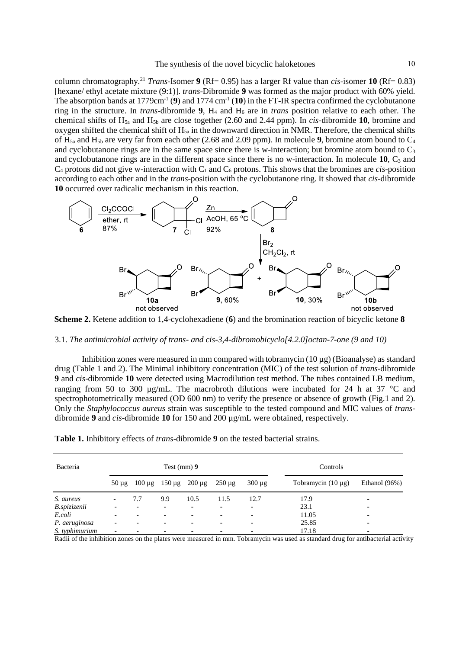column chromatography.<sup>21</sup> *Trans*-Isomer **9** (Rf= 0.95) has a larger Rf value than *cis*-isomer **10** (Rf= 0.83) [hexane/ ethyl acetate mixture (9:1)]. *trans*-Dibromide **9** was formed as the major product with 60% yield. The absorption bands at  $1779 \text{cm}^{-1}$  (9) and  $1774 \text{cm}^{-1}$  (10) in the FT-IR spectra confirmed the cyclobutanone ring in the structure. In *trans*-dibromide **9**, H<sup>4</sup> and H<sup>6</sup> are in *trans* position relative to each other. The chemical shifts of H5a and H5b are close together (2.60 and 2.44 ppm). In *cis-*dibromide **10**, bromine and oxygen shifted the chemical shift of  $H_{5a}$  in the downward direction in NMR. Therefore, the chemical shifts of  $H_{5a}$  and  $H_{5b}$  are very far from each other (2.68 and 2.09 ppm). In molecule **9**, bromine atom bound to  $C_4$ and cyclobutanone rings are in the same space since there is w-interaction; but bromine atom bound to  $C_3$ and cyclobutanone rings are in the different space since there is no w-interaction. In molecule 10, C<sub>3</sub> and  $C_4$  protons did not give w-interaction with  $C_1$  and  $C_6$  protons. This shows that the bromines are *cis*-position according to each other and in the *trans*-position with the cyclobutanone ring. It showed that *cis*-dibromide **10** occurred over radicalic mechanism in this reaction.



**Scheme 2.** Ketene addition to 1,4-cyclohexadiene (**6**) and the bromination reaction of bicyclic ketone **8**

#### 3.1. *The antimicrobial activity of trans- and cis-3,4-dibromobicyclo[4.2.0]octan-7-one (9 and 10)*

Inhibition zones were measured in mm compared with tobramycin (10 µg) (Bioanalyse) as standard drug (Table 1 and 2). The Minimal inhibitory concentration (MIC) of the test solution of *trans*-dibromide **9** and *cis*-dibromide **10** were detected using Macrodilution test method. The tubes contained LB medium, ranging from 50 to 300  $\mu$ g/mL. The macrobroth dilutions were incubated for 24 h at 37 °C and spectrophotometrically measured (OD 600 nm) to verify the presence or absence of growth (Fig.1 and 2). Only the *Staphylococcus aureus* strain was susceptible to the tested compound and MIC values of *trans*dibromide **9** and *cis*-dibromide **10** for 150 and 200 µg/mL were obtained, respectively.

| Bacteria       | Test $(mm)$ 9            |             |                        |             |             | Controls                 |                         |               |  |
|----------------|--------------------------|-------------|------------------------|-------------|-------------|--------------------------|-------------------------|---------------|--|
|                | $50 \mu g$               | $100 \mu$ g | $150 \,\mathrm{\mu g}$ | $200 \mu g$ | $250 \mu g$ | $300 \mu g$              | Tobramycin $(10 \mu g)$ | Ethanol (96%) |  |
| S. aureus      |                          | 7.7         | 9.9                    | 10.5        | 11.5        | 12.7                     | 17.9                    |               |  |
| B.spizizenii   |                          |             |                        |             |             | $\overline{\phantom{a}}$ | 23.1                    |               |  |
| E.coli         |                          |             |                        |             |             | $\overline{\phantom{a}}$ | 11.05                   |               |  |
| P. aeruginosa  | $\overline{\phantom{0}}$ |             |                        | ۰           |             | $\overline{\phantom{a}}$ | 25.85                   |               |  |
| S. typhimurium | $\overline{\phantom{0}}$ |             |                        |             |             | $\overline{\phantom{a}}$ | 17.18                   |               |  |

**Table 1.** Inhibitory effects of *trans*-dibromide **9** on the tested bacterial strains.

Radii of the inhibition zones on the plates were measured in mm. Tobramycin was used as standard drug for antibacterial activity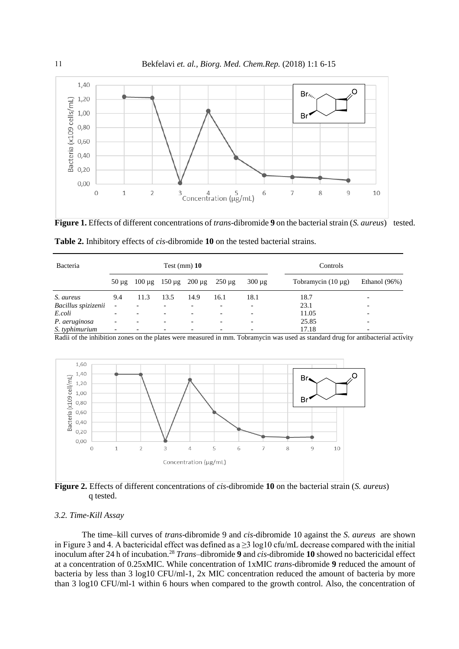

**Figure 1.** Effects of different concentrations of *trans*-dibromide **9** on the bacterial strain (*S. aureus*) tested.

| Bacteria            | Test $(mm)$ 10           |             |                          |                          |                          | Controls                 |                         |                          |  |
|---------------------|--------------------------|-------------|--------------------------|--------------------------|--------------------------|--------------------------|-------------------------|--------------------------|--|
|                     | $50 \mu$ g               | $100 \mu$ g | $150 \mu g$              | $200 \,\mathrm{\mu g}$   | $250 \mu g$              | $300 \mu g$              | Tobramycin $(10 \mu g)$ | Ethanol $(96%)$          |  |
| S. aureus           | 9.4                      | 11.3        | 13.5                     | 14.9                     | 16.1                     | 18.1                     | 18.7                    | $\overline{\phantom{0}}$ |  |
| Bacillus spizizenii | $\overline{\phantom{a}}$ |             |                          |                          |                          | $\overline{\phantom{a}}$ | 23.1                    |                          |  |
| E.coli              | $\overline{\phantom{0}}$ |             | $\overline{\phantom{0}}$ | $\overline{\phantom{a}}$ | $\overline{\phantom{0}}$ | $\overline{\phantom{a}}$ | 11.05                   | $\overline{\phantom{0}}$ |  |
| P. aeruginosa       | $\overline{\phantom{0}}$ |             |                          |                          |                          | $\overline{\phantom{0}}$ | 25.85                   |                          |  |
| S. typhimurium      | $\overline{\phantom{0}}$ |             |                          | $\overline{\phantom{a}}$ |                          | $\overline{\phantom{a}}$ | 17.18                   | $\overline{\phantom{0}}$ |  |

**Table 2.** Inhibitory effects of *cis*-dibromide **10** on the tested bacterial strains.

Radii of the inhibition zones on the plates were measured in mm. Tobramycin was used as standard drug for antibacterial activity



**Figure 2.** Effects of different concentrations of *cis*-dibromide **10** on the bacterial strain (*S. aureus*) q tested.

# *3.2. Time-Kill Assay*

The time–kill curves of *trans*-dibromide 9 and *cis*-dibromide 10 against the *S. aureus* are shown in Figure 3 and 4. A bactericidal effect was defined as a ≥3 log10 cfu/mL decrease compared with the initial inoculum after 24 h of incubation.<sup>28</sup> *Trans*–dibromide **9** and *cis*-dibromide **10** showed no bactericidal effect at a concentration of 0.25xMIC. While concentration of 1xMIC *trans*-dibromide **9** reduced the amount of bacteria by less than 3 log10 CFU/ml-1, 2x MIC concentration reduced the amount of bacteria by more than 3 log10 CFU/ml-1 within 6 hours when compared to the growth control. Also, the concentration of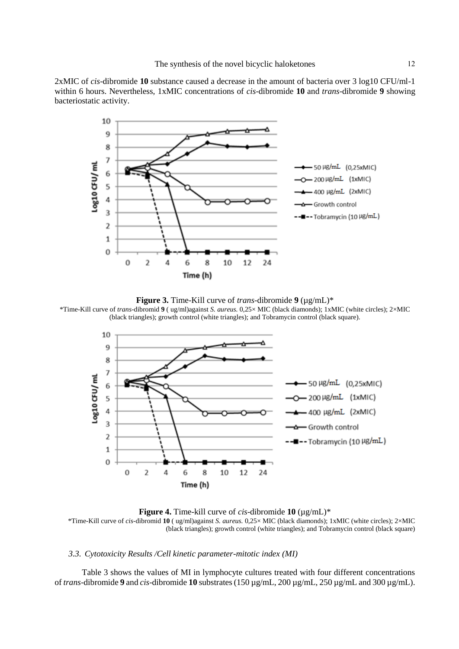2xMIC of *cis*-dibromide **10** substance caused a decrease in the amount of bacteria over 3 log10 CFU/ml-1 within 6 hours. Nevertheless, 1xMIC concentrations of *cis*-dibromide **10** and *trans*-dibromide **9** showing bacteriostatic activity.



**Figure 3.** Time-Kill curve of *trans-*dibromide **9** (µg/mL)\*

\*Time-Kill curve of *trans*-dibromid **9** ( ug/ml)against *S. aureus.* 0,25× MIC (black diamonds); 1xMIC (white circles); 2×MIC (black triangles); growth control (white triangles); and Tobramycin control (black square).



**Figure 4.** Time-kill curve of *cis*-dibromide **10** (µg/mL)\*

\*Time-Kill curve of *cis*-dibromid **10** ( ug/ml)against *S. aureus.* 0,25× MIC (black diamonds); 1xMIC (white circles); 2×MIC (black triangles); growth control (white triangles); and Tobramycin control (black square)

#### *3.3. Cytotoxicity Results /Cell kinetic parameter-mitotic index (MI)*

Table 3 shows the values of MI in lymphocyte cultures treated with four different concentrations of *trans*-dibromide **9** and *cis*-dibromide **10** substrates (150 µg/mL, 200 µg/mL, 250 µg/mL and 300 µg/mL).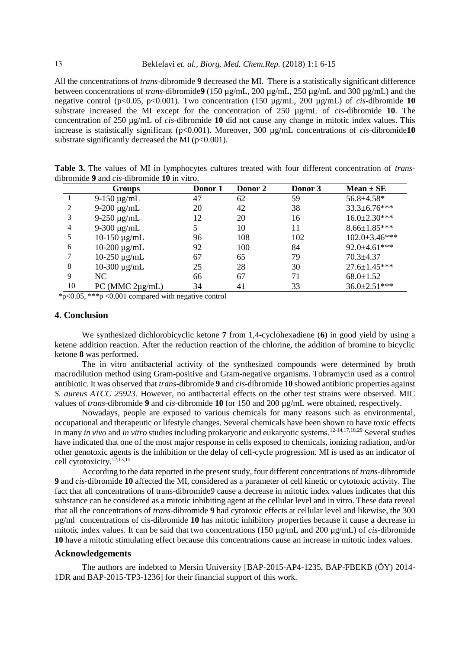All the concentrations of *trans*-dibromide **9** decreased the MI. There is a statistically significant difference between concentrations of *trans*-dibromide**9** (150 µg/mL, 200 µg/mL, 250 µg/mL and 300 µg/mL) and the negative control (p<0.05, p<0.001). Two concentration (150 µg/mL, 200 µg/mL) of *cis*-dibromide **10**  substrate increased the MI except for the concentration of 250 µg/mL of *cis*-dibromide **10**. The concentration of 250 µg/mL of *cis*-dibromide **10** did not cause any change in mitotic index values. This increase is statistically significant (p<0.001). Moreover, 300 µg/mL concentrations of *cis*-dibromide**10**  substrate significantly decreased the MI ( $p < 0.001$ ).

| Table 3. The values of MI in lymphocytes cultures treated with four different concentration of <i>trans-</i> |  |  |  |  |
|--------------------------------------------------------------------------------------------------------------|--|--|--|--|
| dibromide 9 and <i>cis</i> -dibromide 10 in vitro.                                                           |  |  |  |  |

|    | <b>Groups</b>     | Donor 1 | Donor 2 | Donor 3 | $Mean \pm SE$        |
|----|-------------------|---------|---------|---------|----------------------|
|    | $9-150 \mu g/mL$  | 47      | 62      | 59      | $56.8 \pm 4.58*$     |
| 2  | $9-200 \mu g/mL$  | 20      | 42      | 38      | $33.3 \pm 6.76$ ***  |
| 3  | $9-250 \mu g/mL$  | 12      | 20      | 16      | $16.0 \pm 2.30$ ***  |
| 4  | 9-300 $\mu$ g/mL  |         | 10      | 11      | $8.66 \pm 1.85$ ***  |
| 5  | 10-150 $\mu$ g/mL | 96      | 108     | 102     | $102.0 \pm 3.46$ *** |
| 6  | $10-200 \mu g/mL$ | 92      | 100     | 84      | $92.0 \pm 4.61$ ***  |
|    | $10-250 \mu g/mL$ | 67      | 65      | 79      | $70.3 \pm 4.37$      |
| 8  | $10-300 \mu g/mL$ | 25      | 28      | 30      | $27.6 \pm 1.45***$   |
| 9  | NC.               | 66      | 67      | 71      | $68.0 \pm 1.52$      |
| 10 | PC (MMC 2µg/mL)   | 34      | 41      | 33      | $36.0 \pm 2.51$ ***  |

\*p<0.05, \*\*\*p <0.001 compared with negative control

# **4. Conclusion**

We synthesized dichlorobicyclic ketone **7** from 1,4-cyclohexadiene (**6**) in good yield by using a ketene addition reaction. After the reduction reaction of the chlorine, the addition of bromine to bicyclic ketone **8** was performed.

The in vitro antibacterial activity of the synthesized compounds were determined by broth macrodilution method using Gram-positive and Gram-negative organisms. Tobramycin used as a control antibiotic. It was observed that *trans*-dibromide **9** and *cis*-dibromide **10** showed antibiotic properties against *S. aureus ATCC 25923*. However, no antibacterial effects on the other test strains were observed. MIC values of *trans*-dibromide **9** and *cis*-dibromide **10** for 150 and 200 µg/mL were obtained, respectively.

Nowadays, people are exposed to various chemicals for many reasons such as environmental, occupational and therapeutic or lifestyle changes. Several chemicals have been shown to have toxic effects in many *in vivo* and *in vitro* studies including prokaryotic and eukaryotic systems.12-14,17,18,29 Several studies have indicated that one of the most major response in cells exposed to chemicals, ionizing radiation, and/or other genotoxic agents is the inhibition or the delay of cell-cycle progression. MI is used as an indicator of cell cytotoxicity.<sup>12,13,15</sup>

According to the data reported in the present study, four different concentrations of *trans*-dibromide **9** and *cis*-dibromide **10** affected the MI, considered as a parameter of cell kinetic or cytotoxic activity. The fact that all concentrations of trans-dibromide9 cause a decrease in mitotic index values indicates that this substance can be considered as a mitotic inhibiting agent at the cellular level and in vitro. These data reveal that all the concentrations of *trans*-dibromide **9** had cytotoxic effects at cellular level and likewise, the 300 µg/ml concentrations of cis-dibromide **10** has mitotic inhibitory properties because it cause a decrease in mitotic index values. It can be said that two concentrations (150 µg/mL and 200 µg/mL) of *cis*-dibromide **10** have a mitotic stimulating effect because this concentrations cause an increase in mitotic index values.

#### **Acknowledgements**

The authors are indebted to Mersin University [BAP-2015-AP4-1235, BAP-FBEKB (ÖY) 2014- 1DR and BAP-2015-TP3-1236] for their financial support of this work.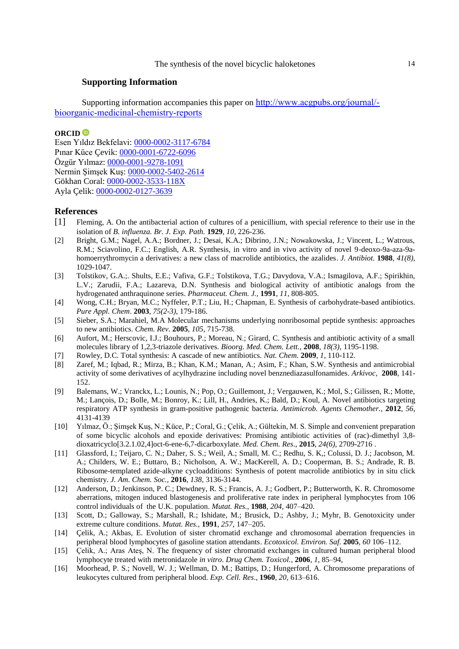# **Supporting Information**

Supporting information accompanies this paper on http://www.acgpubs.org/journal/ bioorganic-medicinal-chemistry-reports

# **ORCID**

Esen Yıldız Bekfelavi: [0000-0002-3117-6784](http://orcid.org/0000-0002-3117-6784) Pınar Küce Çevik: [0000-0001-6722-6096](http://orcid.org/0000-0001-6722-6096) Özgür Yılmaz: [0000-0001-9278-1091](http://orcid.org/0000-0001-9278-1091) Nermin Şimşek Kuş: [0000-0002-5402-2614](http://orcid.org/0000-0002-5402-2614) Gökhan Coral: [0000-0002-3533-118X](http://orcid.org/0000-0002-3533-118X) Ayla Çelik: [0000-0002-0127-3639](http://orcid.org/0000-0002-0127-3639)

## **References**

- [1] Fleming, A. On the antibacterial action of cultures of a penicillium, with special reference to their use in the isolation of *B. influenza. Br. J. Exp. Path.* **1929**, *10*, 226-236.
- [2] Bright, G.M.; Nagel, A.A.; Bordner, J.; Desai, K.A.; Dibrino, J.N.; Nowakowska, J.; Vincent, L.; Watrous, R.M.; Sciavolino, F.C.; English, A.R. Synthesis, in vitro and in vivo activity of novel 9-deoxo-9a-aza-9ahomoerrythromycin a derivatives: a new class of macrolide antibiotics, the azalides. *J. Antibiot.* **1988**, *41(8)*, 1029-1047.
- [3] Tolstikov, G.A.;. Shults, E.E.; Vafiva, G.F.; Tolstikova, T.G.; Davydova, V.A.; Ismagilova, A.F.; Spirikhin, L.V.; Zarudii, F.A.; Lazareva, D.N. Synthesis and biological activity of antibiotic analogs from the hydrogenated anthraquinone series. *Pharmaceut. Chem. J.,* **1991**, *11*, 808-805.
- [4] Wong, C.H.; Bryan, M.C.; Nyffeler, P.T.; Liu, H.; Chapman, E. Synthesis of carbohydrate-based antibiotics. *Pure Appl. Chem*. **2003**, *75(2-3)*, 179-186.
- [5] Sieber, S.A.; Marahiel, M.A Molecular mechanisms underlying nonribosomal peptide synthesis: approaches to new antibiotics. *Chem. Rev.* **2005**, *105*, 715-738.
- [6] Aufort, M.; Herscovic, I.J.; Bouhours, P.; Moreau, N.; Girard, C. Synthesis and antibiotic activity of a small molecules library of 1,2,3-triazole derivatives. *Bioorg. Med. Chem. Lett.,* **2008**, *18(3)*, 1195-1198.
- [7] Rowley, D.C. Total synthesis: A cascade of new antibiotics. *Nat. Chem.* **2009**, *1,* 110-112.
- [8] Zaref, M.; Iqbad, R.; Mirza, B.; Khan, K.M.; Manan, A.; Asim, F.; Khan, S.W. Synthesis and antimicrobial activity of some derivatives of acylhydrazine including novel benznediazasulfonamides. *Arkivoc*, **2008**, 141- 152.
- [9] Balemans, W.; Vranckx, L.; Lounis, N.; Pop, O.; Guillemont, J.; Vergauwen, K.; Mol, S.; Gilissen, R.; Motte, M.; Lançois, D.; Bolle, M.; Bonroy, K.; Lill, H., Andries, K.; Bald, D.; Koul, A. Novel antibiotics targeting respiratory ATP synthesis in gram-positive pathogenic bacteria. *Antimicrob. Agents Chemother.*, **2012**, *56*, 4131-4139
- [10] Yılmaz, Ö.; Şimşek Kuş, N.; Küce, P.; Coral, G.; Çelik, A.; Gültekin, M. S. Simple and convenient preparation of some bicyclic alcohols and epoxide derivatives: Promising antibiotic activities of (rac)-dimethyl 3,8 dioxatricyclo[3.2.1.02,4]oct-6-ene-6,7-dicarboxylate. *Med. Chem. Res*., **2015**, *24(6),* 2709-2716 .
- [11] Glassford, I.; Teijaro, C. N.; Daher, S. S.; Weil, A.; Small, M. C.; Redhu, S. K,; Colussi, D. J.; Jacobson, M. A.; Childers, W. E.; Buttaro, B.; Nicholson, A. W.; MacKerell, A. D.; Cooperman, B. S.; Andrade, R. B. Ribosome-templated azide-alkyne cycloadditions: Synthesis of potent macrolide antibiotics by in situ click chemistry. *J. Am. Chem. Soc.,* **2016**, *138,* 3136-3144.
- [12] Anderson, D.; Jenkinson, P. C.; Dewdney, R. S.; Francis, A. J.; Godbert, P.; Butterworth, K. R. Chromosome aberrations, mitogen induced blastogenesis and proliferative rate index in peripheral lymphocytes from 106 control individuals of the U.K. population. *Mutat. Res.,* **1988**, *204,* 407–420.
- [13] Scott, D.; Galloway, S.; Marshall, R.; Ishidate, M.; Brusick, D.; Ashby, J.; Myhr, B. Genotoxicity under extreme culture conditions. *Mutat. Res.,* **1991**, *257,* 147–205.
- [14] Çelik, A.; Akbas, E. Evolution of sister chromatid exchange and chromosomal aberration frequencies in peripheral blood lymphocytes of gasoline station attendants. *Ecotoxicol. Environ. Saf.* **2005**, *60* 106–112.
- [15] Çelik, A.; Aras Ateş, N. The frequency of sister chromatid exchanges in cultured human peripheral blood lymphocyte treated with metronidazole *in vitro*. *Drug Chem. Toxicol.*, **2006**, *1*, 85–94,
- [16] Moorhead, P. S.; Novell, W. J.; Wellman, D. M.; Battips, D.; Hungerford, A. Chromosome preparations of leukocytes cultured from peripheral blood. *Exp. Cell. Res*., **1960**, *20,* 613–616.